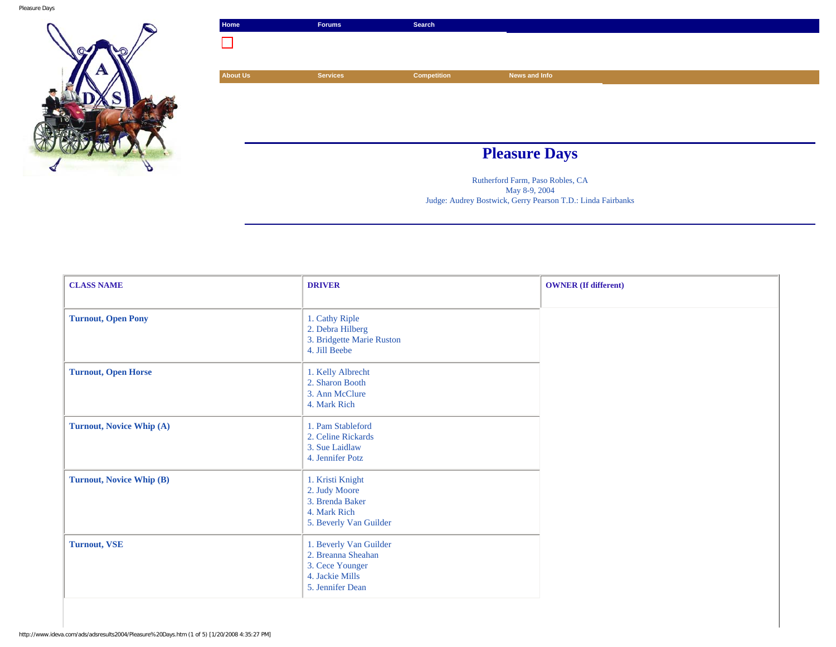

| Home            | Forums          | Search      |                      |  |
|-----------------|-----------------|-------------|----------------------|--|
|                 |                 |             |                      |  |
|                 |                 |             |                      |  |
| <b>About Us</b> | <b>Services</b> | Competition | News and Info        |  |
|                 |                 |             |                      |  |
|                 |                 |             |                      |  |
|                 |                 |             |                      |  |
|                 |                 |             |                      |  |
|                 |                 |             | <b>Pleasure Days</b> |  |
|                 |                 |             |                      |  |

Rutherford Farm, Paso Robles, CA May 8-9, 2004 Judge: Audrey Bostwick, Gerry Pearson T.D.: Linda Fairbanks

| <b>CLASS NAME</b>               | <b>DRIVER</b>                                                                                          | <b>OWNER</b> (If different) |
|---------------------------------|--------------------------------------------------------------------------------------------------------|-----------------------------|
| <b>Turnout, Open Pony</b>       | 1. Cathy Riple<br>2. Debra Hilberg<br>3. Bridgette Marie Ruston<br>4. Jill Beebe                       |                             |
| <b>Turnout, Open Horse</b>      | 1. Kelly Albrecht<br>2. Sharon Booth<br>3. Ann McClure<br>4. Mark Rich                                 |                             |
| <b>Turnout, Novice Whip (A)</b> | 1. Pam Stableford<br>2. Celine Rickards<br>3. Sue Laidlaw<br>4. Jennifer Potz                          |                             |
| <b>Turnout, Novice Whip (B)</b> | 1. Kristi Knight<br>2. Judy Moore<br>3. Brenda Baker<br>4. Mark Rich<br>5. Beverly Van Guilder         |                             |
| <b>Turnout, VSE</b>             | 1. Beverly Van Guilder<br>2. Breanna Sheahan<br>3. Cece Younger<br>4. Jackie Mills<br>5. Jennifer Dean |                             |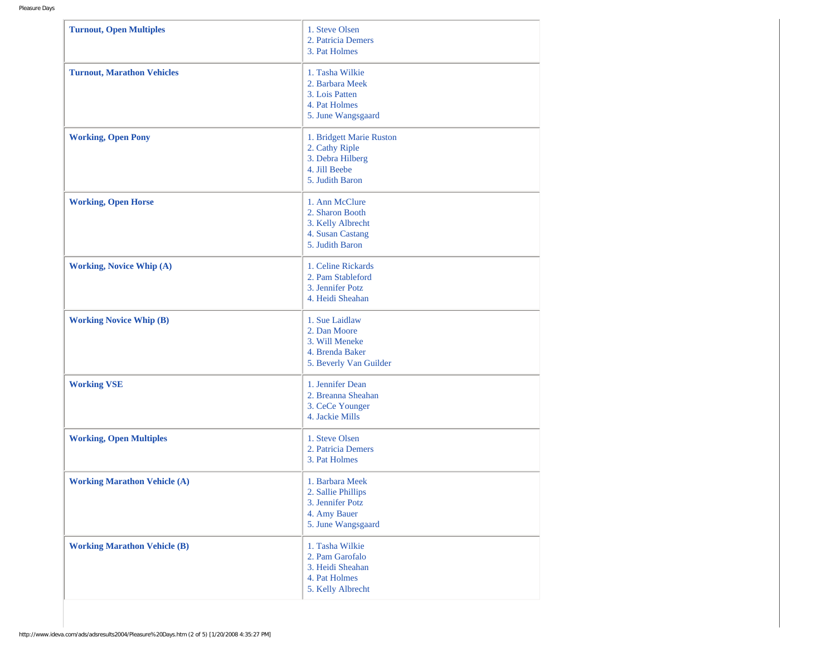| <b>Turnout, Open Multiples</b>      | 1. Steve Olsen<br>2. Patricia Demers<br>3. Pat Holmes                                              |
|-------------------------------------|----------------------------------------------------------------------------------------------------|
| <b>Turnout, Marathon Vehicles</b>   | 1. Tasha Wilkie<br>2. Barbara Meek<br>3. Lois Patten<br>4. Pat Holmes<br>5. June Wangsgaard        |
| <b>Working, Open Pony</b>           | 1. Bridgett Marie Ruston<br>2. Cathy Riple<br>3. Debra Hilberg<br>4. Jill Beebe<br>5. Judith Baron |
| <b>Working, Open Horse</b>          | 1. Ann McClure<br>2. Sharon Booth<br>3. Kelly Albrecht<br>4. Susan Castang<br>5. Judith Baron      |
| <b>Working, Novice Whip (A)</b>     | 1. Celine Rickards<br>2. Pam Stableford<br>3. Jennifer Potz<br>4. Heidi Sheahan                    |
| <b>Working Novice Whip (B)</b>      | 1. Sue Laidlaw<br>2. Dan Moore<br>3. Will Meneke<br>4. Brenda Baker<br>5. Beverly Van Guilder      |
| <b>Working VSE</b>                  | 1. Jennifer Dean<br>2. Breanna Sheahan<br>3. CeCe Younger<br>4. Jackie Mills                       |
| <b>Working, Open Multiples</b>      | 1. Steve Olsen<br>2. Patricia Demers<br>3. Pat Holmes                                              |
| <b>Working Marathon Vehicle (A)</b> | 1. Barbara Meek<br>2. Sallie Phillips<br>3. Jennifer Potz<br>4. Amy Bauer<br>5. June Wangsgaard    |
| <b>Working Marathon Vehicle (B)</b> | 1. Tasha Wilkie<br>2. Pam Garofalo<br>3. Heidi Sheahan<br>4. Pat Holmes<br>5. Kelly Albrecht       |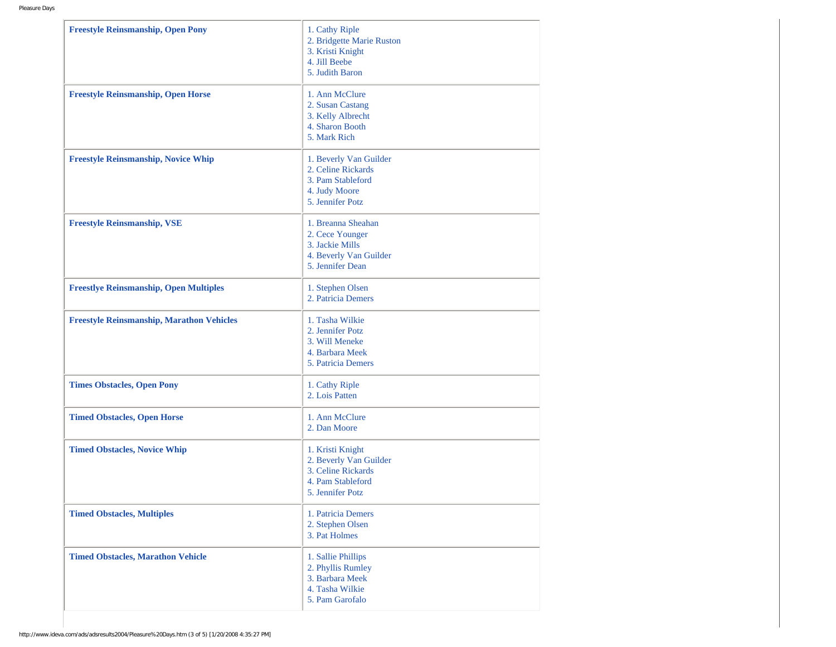| <b>Freestyle Reinsmanship, Open Pony</b>         | 1. Cathy Riple<br>2. Bridgette Marie Ruston<br>3. Kristi Knight<br>4. Jill Beebe<br>5. Judith Baron       |
|--------------------------------------------------|-----------------------------------------------------------------------------------------------------------|
| <b>Freestyle Reinsmanship, Open Horse</b>        | 1. Ann McClure<br>2. Susan Castang<br>3. Kelly Albrecht<br>4. Sharon Booth<br>5. Mark Rich                |
| <b>Freestyle Reinsmanship, Novice Whip</b>       | 1. Beverly Van Guilder<br>2. Celine Rickards<br>3. Pam Stableford<br>4. Judy Moore<br>5. Jennifer Potz    |
| <b>Freestyle Reinsmanship, VSE</b>               | 1. Breanna Sheahan<br>2. Cece Younger<br>3. Jackie Mills<br>4. Beverly Van Guilder<br>5. Jennifer Dean    |
| <b>Freestlye Reinsmanship, Open Multiples</b>    | 1. Stephen Olsen<br>2. Patricia Demers                                                                    |
| <b>Freestyle Reinsmanship, Marathon Vehicles</b> | 1. Tasha Wilkie<br>2. Jennifer Potz<br>3. Will Meneke<br>4. Barbara Meek<br>5. Patricia Demers            |
| <b>Times Obstacles, Open Pony</b>                | 1. Cathy Riple<br>2. Lois Patten                                                                          |
| <b>Timed Obstacles, Open Horse</b>               | 1. Ann McClure<br>2. Dan Moore                                                                            |
| <b>Timed Obstacles, Novice Whip</b>              | 1. Kristi Knight<br>2. Beverly Van Guilder<br>3. Celine Rickards<br>4. Pam Stableford<br>5. Jennifer Potz |
| <b>Timed Obstacles, Multiples</b>                | 1. Patricia Demers<br>2. Stephen Olsen<br>3. Pat Holmes                                                   |
| <b>Timed Obstacles, Marathon Vehicle</b>         | 1. Sallie Phillips<br>2. Phyllis Rumley<br>3. Barbara Meek<br>4. Tasha Wilkie<br>5. Pam Garofalo          |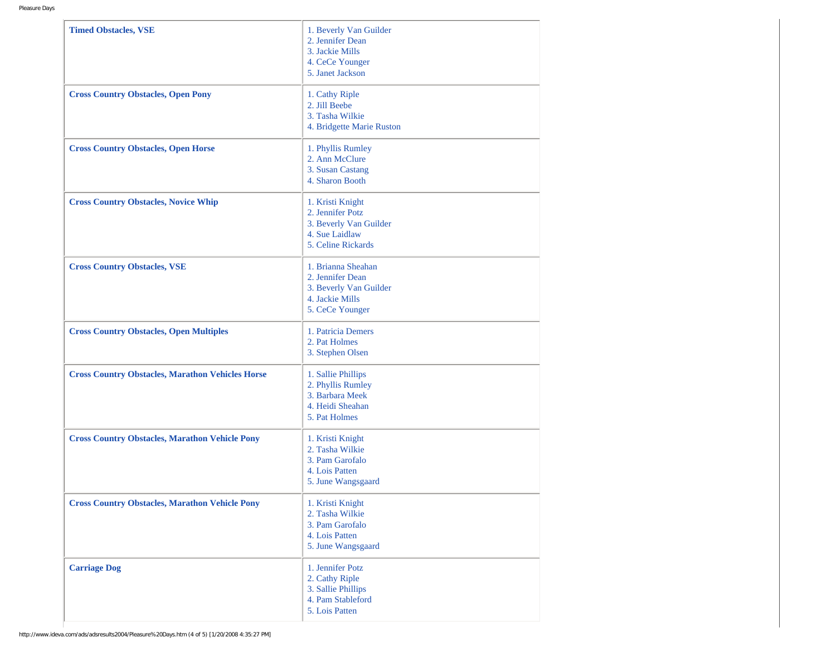| <b>Timed Obstacles, VSE</b>                             | 1. Beverly Van Guilder<br>2. Jennifer Dean<br>3. Jackie Mills<br>4. CeCe Younger<br>5. Janet Jackson   |
|---------------------------------------------------------|--------------------------------------------------------------------------------------------------------|
| <b>Cross Country Obstacles, Open Pony</b>               | 1. Cathy Riple<br>2. Jill Beebe<br>3. Tasha Wilkie<br>4. Bridgette Marie Ruston                        |
| <b>Cross Country Obstacles, Open Horse</b>              | 1. Phyllis Rumley<br>2. Ann McClure<br>3. Susan Castang<br>4. Sharon Booth                             |
| <b>Cross Country Obstacles, Novice Whip</b>             | 1. Kristi Knight<br>2. Jennifer Potz<br>3. Beverly Van Guilder<br>4. Sue Laidlaw<br>5. Celine Rickards |
| <b>Cross Country Obstacles, VSE</b>                     | 1. Brianna Sheahan<br>2. Jennifer Dean<br>3. Beverly Van Guilder<br>4. Jackie Mills<br>5. CeCe Younger |
| <b>Cross Country Obstacles, Open Multiples</b>          | 1. Patricia Demers<br>2. Pat Holmes<br>3. Stephen Olsen                                                |
| <b>Cross Country Obstacles, Marathon Vehicles Horse</b> | 1. Sallie Phillips<br>2. Phyllis Rumley<br>3. Barbara Meek<br>4. Heidi Sheahan<br>5. Pat Holmes        |
| <b>Cross Country Obstacles, Marathon Vehicle Pony</b>   | 1. Kristi Knight<br>2. Tasha Wilkie<br>3. Pam Garofalo<br>4. Lois Patten<br>5. June Wangsgaard         |
| <b>Cross Country Obstacles, Marathon Vehicle Pony</b>   | 1. Kristi Knight<br>2. Tasha Wilkie<br>3. Pam Garofalo<br>4. Lois Patten<br>5. June Wangsgaard         |
| <b>Carriage Dog</b>                                     | 1. Jennifer Potz<br>2. Cathy Riple<br>3. Sallie Phillips<br>4. Pam Stableford<br>5. Lois Patten        |